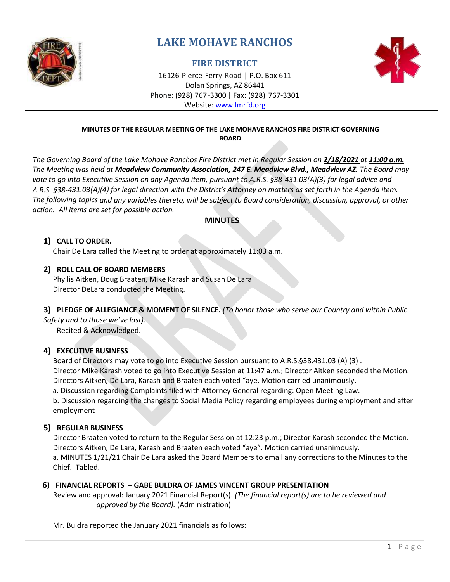

# **LAKE MOHAVE RANCHOS**

## **FIRE DISTRICT**



16126 Pierce Ferry Road | P.O. Box 611 Dolan Springs, AZ 86441 Phone: (928) 767-3300 | Fax: (928) 767-3301 Website: [www.lmrfd.org](http://www.lmrfd.org/)

#### **MINUTES OF THE REGULAR MEETING OF THE LAKE MOHAVE RANCHOS FIRE DISTRICT GOVERNING BOARD**

*The Governing Board of the Lake Mohave Ranchos Fire District met in Regular Session on 2/18/2021 at 11:00 a.m. The Meeting was held at Meadview Community Association, 247 E. Meadview Blvd., Meadview AZ. The Board may vote to go into Executive Session on any Agenda item, pursuant to A.R.S. §38-431.03(A)(3) for legal advice and* A.R.S. §38-431.03(A)(4) for legal direction with the District's Attorney on matters as set forth in the Agenda item. *The following topics and any variables thereto, will be subject to Board consideration, discussion, approval, or other action. All items are set for possible action.*

## **MINUTES**

## **1) CALL TO ORDER.**

Chair De Lara called the Meeting to order at approximately 11:03 a.m.

#### **2) ROLL CALL OF BOARD MEMBERS**

Phyllis Aitken, Doug Braaten, Mike Karash and Susan De Lara Director DeLara conducted the Meeting.

#### **3) PLEDGE OF ALLEGIANCE & MOMENT OF SILENCE.** *(To honor those who serve our Country and within Public*

*Safety and to those we've lost).*

Recited & Acknowledged.

## **4) EXECUTIVE BUSINESS**

Board of Directors may vote to go into Executive Session pursuant to A.R.S.§38.431.03 (A) (3) . Director Mike Karash voted to go into Executive Session at 11:47 a.m.; Director Aitken seconded the Motion. Directors Aitken, De Lara, Karash and Braaten each voted "aye. Motion carried unanimously.

a. Discussion regarding Complaints filed with Attorney General regarding: Open Meeting Law.

b. Discussion regarding the changes to Social Media Policy regarding employees during employment and after employment

## **5) REGULAR BUSINESS**

Director Braaten voted to return to the Regular Session at 12:23 p.m.; Director Karash seconded the Motion. Directors Aitken, De Lara, Karash and Braaten each voted "aye". Motion carried unanimously. a. MINUTES 1/21/21 Chair De Lara asked the Board Members to email any corrections to the Minutes to the Chief. Tabled.

## **6) FINANCIAL REPORTS** – **GABE BULDRA OF JAMES VINCENT GROUP PRESENTATION**

Review and approval: January 2021 Financial Report(s). *(The financial report(s) are to be reviewed and approved by the Board).* (Administration)

Mr. Buldra reported the January 2021 financials as follows: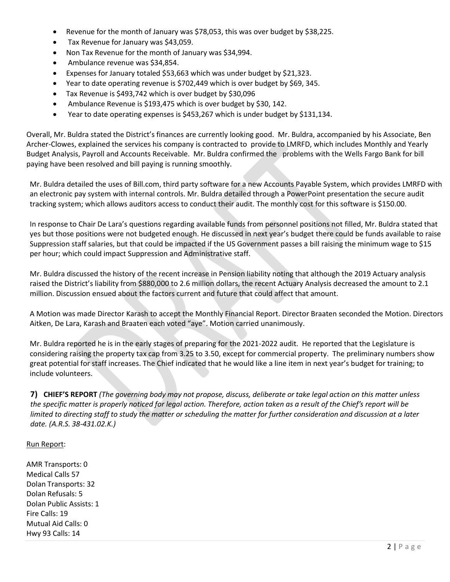- Revenue for the month of January was \$78,053, this was over budget by \$38,225.
- Tax Revenue for January was \$43,059.
- Non Tax Revenue for the month of January was \$34,994.
- Ambulance revenue was \$34,854.
- Expenses for January totaled \$53,663 which was under budget by \$21,323.
- Year to date operating revenue is \$702,449 which is over budget by \$69, 345.
- Tax Revenue is \$493,742 which is over budget by \$30,096
- Ambulance Revenue is \$193,475 which is over budget by \$30, 142.
- Year to date operating expenses is \$453,267 which is under budget by \$131,134.

Overall, Mr. Buldra stated the District's finances are currently looking good. Mr. Buldra, accompanied by his Associate, Ben Archer-Clowes, explained the services his company is contracted to provide to LMRFD, which includes Monthly and Yearly Budget Analysis, Payroll and Accounts Receivable. Mr. Buldra confirmed the problems with the Wells Fargo Bank for bill paying have been resolved and bill paying is running smoothly.

Mr. Buldra detailed the uses of Bill.com, third party software for a new Accounts Payable System, which provides LMRFD with an electronic pay system with internal controls. Mr. Buldra detailed through a PowerPoint presentation the secure audit tracking system; which allows auditors access to conduct their audit. The monthly cost for this software is \$150.00.

In response to Chair De Lara's questions regarding available funds from personnel positions not filled, Mr. Buldra stated that yes but those positions were not budgeted enough. He discussed in next year's budget there could be funds available to raise Suppression staff salaries, but that could be impacted if the US Government passes a bill raising the minimum wage to \$15 per hour; which could impact Suppression and Administrative staff.

Mr. Buldra discussed the history of the recent increase in Pension liability noting that although the 2019 Actuary analysis raised the District's liability from \$880,000 to 2.6 million dollars, the recent Actuary Analysis decreased the amount to 2.1 million. Discussion ensued about the factors current and future that could affect that amount.

A Motion was made Director Karash to accept the Monthly Financial Report. Director Braaten seconded the Motion. Directors Aitken, De Lara, Karash and Braaten each voted "aye". Motion carried unanimously.

Mr. Buldra reported he is in the early stages of preparing for the 2021-2022 audit. He reported that the Legislature is considering raising the property tax cap from 3.25 to 3.50, except for commercial property. The preliminary numbers show great potential for staff increases. The Chief indicated that he would like a line item in next year's budget for training; to include volunteers.

7) CHIEF'S REPORT (The governing body may not propose, discuss, deliberate or take legal action on this matter unless *the specific matter is properly noticed for legal action. Therefore, action taken as a result of the Chief's report will be* limited to directing staff to study the matter or scheduling the matter for further consideration and discussion at a later *date. (A.R.S. 38-431.02.K.)*

#### Run Report:

AMR Transports: 0 Medical Calls 57 Dolan Transports: 32 Dolan Refusals: 5 Dolan Public Assists: 1 Fire Calls: 19 Mutual Aid Calls: 0 Hwy 93 Calls: 14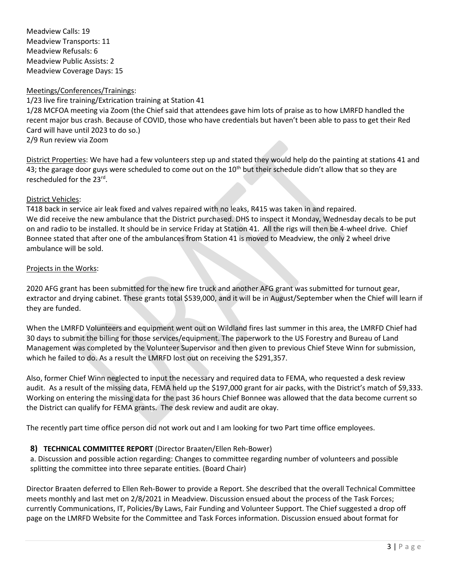Meadview Calls: 19 Meadview Transports: 11 Meadview Refusals: 6 Meadview Public Assists: 2 Meadview Coverage Days: 15

#### Meetings/Conferences/Trainings:

1/23 live fire training/Extrication training at Station 41

1/28 MCFOA meeting via Zoom (the Chief said that attendees gave him lots of praise as to how LMRFD handled the recent major bus crash. Because of COVID, those who have credentials but haven't been able to pass to get their Red Card will have until 2023 to do so.)

2/9 Run review via Zoom

District Properties: We have had a few volunteers step up and stated they would help do the painting at stations 41 and 43; the garage door guys were scheduled to come out on the 10<sup>th</sup> but their schedule didn't allow that so they are rescheduled for the 23<sup>rd</sup>.

#### District Vehicles:

T418 back in service air leak fixed and valves repaired with no leaks, R415 was taken in and repaired. We did receive the new ambulance that the District purchased. DHS to inspect it Monday, Wednesday decals to be put on and radio to be installed. It should be in service Friday at Station 41. All the rigs will then be 4-wheel drive. Chief Bonnee stated that after one of the ambulances from Station 41 is moved to Meadview, the only 2 wheel drive ambulance will be sold.

#### Projects in the Works:

2020 AFG grant has been submitted for the new fire truck and another AFG grant was submitted for turnout gear, extractor and drying cabinet. These grants total \$539,000, and it will be in August/September when the Chief will learn if they are funded.

When the LMRFD Volunteers and equipment went out on Wildland fires last summer in this area, the LMRFD Chief had 30 days to submit the billing for those services/equipment. The paperwork to the US Forestry and Bureau of Land Management was completed by the Volunteer Supervisor and then given to previous Chief Steve Winn for submission, which he failed to do. As a result the LMRFD lost out on receiving the \$291,357.

Also, former Chief Winn neglected to input the necessary and required data to FEMA, who requested a desk review audit. As a result of the missing data, FEMA held up the \$197,000 grant for air packs, with the District's match of \$9,333. Working on entering the missing data for the past 36 hours Chief Bonnee was allowed that the data become current so the District can qualify for FEMA grants. The desk review and audit are okay.

The recently part time office person did not work out and I am looking for two Part time office employees.

## **8) TECHNICAL COMMITTEE REPORT** (Director Braaten/Ellen Reh-Bower)

a. Discussion and possible action regarding: Changes to committee regarding number of volunteers and possible splitting the committee into three separate entities. (Board Chair)

Director Braaten deferred to Ellen Reh-Bower to provide a Report. She described that the overall Technical Committee meets monthly and last met on 2/8/2021 in Meadview. Discussion ensued about the process of the Task Forces; currently Communications, IT, Policies/By Laws, Fair Funding and Volunteer Support. The Chief suggested a drop off page on the LMRFD Website for the Committee and Task Forces information. Discussion ensued about format for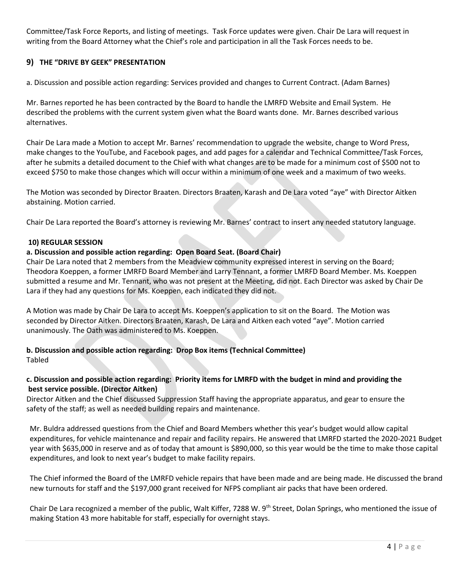Committee/Task Force Reports, and listing of meetings. Task Force updates were given. Chair De Lara will request in writing from the Board Attorney what the Chief's role and participation in all the Task Forces needs to be.

## **9) THE "DRIVE BY GEEK" PRESENTATION**

a. Discussion and possible action regarding: Services provided and changes to Current Contract. (Adam Barnes)

Mr. Barnes reported he has been contracted by the Board to handle the LMRFD Website and Email System. He described the problems with the current system given what the Board wants done. Mr. Barnes described various alternatives.

Chair De Lara made a Motion to accept Mr. Barnes' recommendation to upgrade the website, change to Word Press, make changes to the YouTube, and Facebook pages, and add pages for a calendar and Technical Committee/Task Forces, after he submits a detailed document to the Chief with what changes are to be made for a minimum cost of \$500 not to exceed \$750 to make those changes which will occur within a minimum of one week and a maximum of two weeks.

The Motion was seconded by Director Braaten. Directors Braaten, Karash and De Lara voted "aye" with Director Aitken abstaining. Motion carried.

Chair De Lara reported the Board's attorney is reviewing Mr. Barnes' contract to insert any needed statutory language.

#### **10) REGULAR SESSION**

#### **a. Discussion and possible action regarding: Open Board Seat. (Board Chair)**

Chair De Lara noted that 2 members from the Meadview community expressed interest in serving on the Board; Theodora Koeppen, a former LMRFD Board Member and Larry Tennant, a former LMRFD Board Member. Ms. Koeppen submitted a resume and Mr. Tennant, who was not present at the Meeting, did not. Each Director was asked by Chair De Lara if they had any questions for Ms. Koeppen, each indicated they did not.

A Motion was made by Chair De Lara to accept Ms. Koeppen's application to sit on the Board. The Motion was seconded by Director Aitken. Directors Braaten, Karash, De Lara and Aitken each voted "aye". Motion carried unanimously. The Oath was administered to Ms. Koeppen.

**b. Discussion and possible action regarding: Drop Box items (Technical Committee)** Tabled

#### **c. Discussion and possible action regarding: Priority items for LMRFD with the budget in mind and providing the best service possible. (Director Aitken)**

Director Aitken and the Chief discussed Suppression Staff having the appropriate apparatus, and gear to ensure the safety of the staff; as well as needed building repairs and maintenance.

Mr. Buldra addressed questions from the Chief and Board Members whether this year's budget would allow capital expenditures, for vehicle maintenance and repair and facility repairs. He answered that LMRFD started the 2020-2021 Budget year with \$635,000 in reserve and as of today that amount is \$890,000, so this year would be the time to make those capital expenditures, and look to next year's budget to make facility repairs.

The Chief informed the Board of the LMRFD vehicle repairs that have been made and are being made. He discussed the brand new turnouts for staff and the \$197,000 grant received for NFPS compliant air packs that have been ordered.

Chair De Lara recognized a member of the public, Walt Kiffer, 7288 W. 9<sup>th</sup> Street, Dolan Springs, who mentioned the issue of making Station 43 more habitable for staff, especially for overnight stays.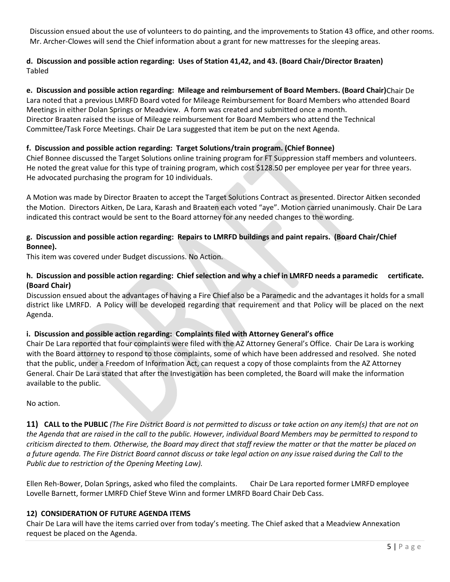Discussion ensued about the use of volunteers to do painting, and the improvements to Station 43 office, and other rooms. Mr. Archer-Clowes will send the Chief information about a grant for new mattresses for the sleeping areas.

## **d. Discussion and possible action regarding: Uses of Station 41,42, and 43. (Board Chair/Director Braaten)** Tabled

#### **e. Discussion and possible action regarding: Mileage and reimbursement of Board Members. (Board Chair)**Chair De

Lara noted that a previous LMRFD Board voted for Mileage Reimbursement for Board Members who attended Board Meetings in either Dolan Springs or Meadview. A form was created and submitted once a month. Director Braaten raised the issue of Mileage reimbursement for Board Members who attend the Technical Committee/Task Force Meetings. Chair De Lara suggested that item be put on the next Agenda.

#### **f. Discussion and possible action regarding: Target Solutions/train program. (Chief Bonnee)**

Chief Bonnee discussed the Target Solutions online training program for FT Suppression staff members and volunteers. He noted the great value for this type of training program, which cost \$128.50 per employee per year for three years. He advocated purchasing the program for 10 individuals.

A Motion was made by Director Braaten to accept the Target Solutions Contract as presented. Director Aitken seconded the Motion. Directors Aitken, De Lara, Karash and Braaten each voted "aye". Motion carried unanimously. Chair De Lara indicated this contract would be sent to the Board attorney for any needed changes to the wording.

#### **g. Discussion and possible action regarding: Repairs to LMRFD buildings and paint repairs. (Board Chair/Chief Bonnee).**

This item was covered under Budget discussions. No Action.

#### **h. Discussion and possible action regarding: Chief selection and why a chief in LMRFD needs a paramedic certificate. (Board Chair)**

Discussion ensued about the advantages of having a Fire Chief also be a Paramedic and the advantages it holds for a small district like LMRFD. A Policy will be developed regarding that requirement and that Policy will be placed on the next Agenda.

## **i. Discussion and possible action regarding: Complaints filed with Attorney General's office**

Chair De Lara reported that four complaints were filed with the AZ Attorney General's Office. Chair De Lara is working with the Board attorney to respond to those complaints, some of which have been addressed and resolved. She noted that the public, under a Freedom of Information Act, can request a copy of those complaints from the AZ Attorney General. Chair De Lara stated that after the Investigation has been completed, the Board will make the information available to the public.

No action.

11) CALL to the PUBLIC (The Fire District Board is not permitted to discuss or take action on any item(s) that are not on *the Agenda that are raised in the call to the public. However, individual Board Members may be permitted to respond to criticism directed to them. Otherwise, the Board may direct that staff review the matter or that the matter be placed on a future agenda. The Fire District Board cannot discuss or take legal action on any issue raised during the Call to the Public due to restriction of the Opening Meeting Law).*

Ellen Reh-Bower, Dolan Springs, asked who filed the complaints. Chair De Lara reported former LMRFD employee Lovelle Barnett, former LMRFD Chief Steve Winn and former LMRFD Board Chair Deb Cass.

#### **12) CONSIDERATION OF FUTURE AGENDA ITEMS**

Chair De Lara will have the items carried over from today's meeting. The Chief asked that a Meadview Annexation request be placed on the Agenda.